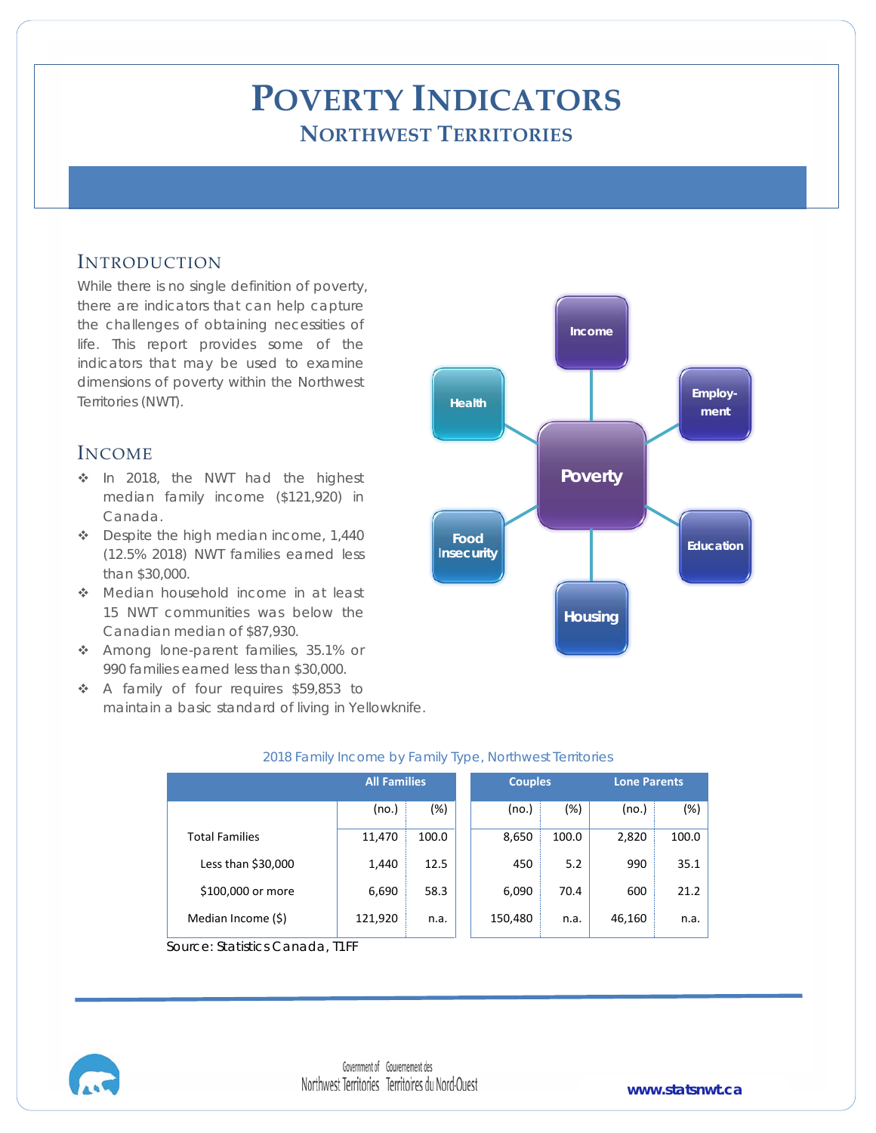# **POVERTY INDICATORS NORTHWEST TERRITORIES**

#### INTRODUCTION

While there is no single definition of poverty, there are indicators that can help capture the challenges of obtaining necessities of life. This report provides some of the indicators that may be used to examine dimensions of poverty within the Northwest Territories (NWT).

#### INCOME

- \* In 2018, the NWT had the highest median family income (\$121,920) in Canada.
- Despite the high median income, 1,440 (12.5% 2018) NWT families earned less than \$30,000.
- Median household income in at least 15 NWT communities was below the Canadian median of \$87,930.
- \* Among lone-parent families, 35.1% or 990 families earned less than \$30,000.
- \* A family of four requires \$59,853 to maintain a basic standard of living in Yellowknife.



|                       | <b>All Families</b> |       | <b>Couples</b> |       | <b>Lone Parents</b> |       |
|-----------------------|---------------------|-------|----------------|-------|---------------------|-------|
|                       | (no.)               | (%)   | (no.)          | (%)   | (no.)               | (%)   |
| <b>Total Families</b> | 11,470              | 100.0 | 8,650          | 100.0 | 2,820               | 100.0 |
| Less than \$30,000    | 1,440               | 12.5  | 450            | 5.2   | 990                 | 35.1  |
| \$100,000 or more     | 6,690               | 58.3  | 6,090          | 70.4  | 600                 | 21.2  |
| Median Income (\$)    | 121,920             | n.a.  | 150,480        | n.a.  | 46,160              | n.a.  |

 *Source: Statistics Canada, T1FF*

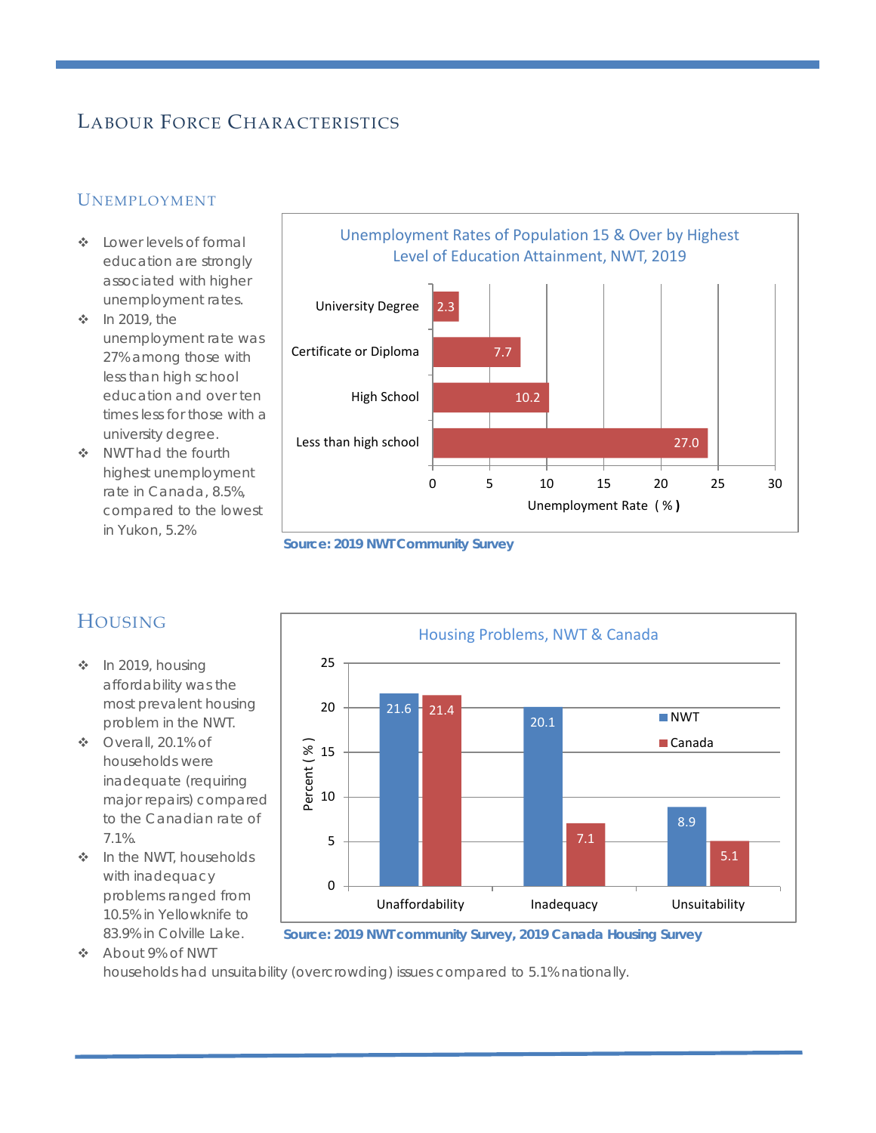## LABOUR FORCE CHARACTERISTICS

#### UNEMPLOYMENT

- Lower levels of formal education are strongly associated with higher unemployment rates.
- In 2019, the unemployment rate was 27% among those with less than high school education and over ten times less for those with a university degree.
- ◆ NWT had the fourth highest unemployment rate in Canada, 8.5%, compared to the lowest in Yukon, 5.2%



**Source: 2019 NWT Community Survey**

## HOUSING

- $\div$  In 2019, housing affordability was the most prevalent housing problem in the NWT.
- ◆ Overall, 20.1% of households were inadequate (requiring major repairs) compared to the Canadian rate of 7.1%.
- ❖ In the NWT, households with inadequacy problems ranged from 10.5% in Yellowknife to 83.9% in Colville Lake.



**Source: 2019 NWT community Survey, 2019 Canada Housing Survey**

 About 9% of NWT households had unsuitability (overcrowding) issues compared to 5.1% nationally.